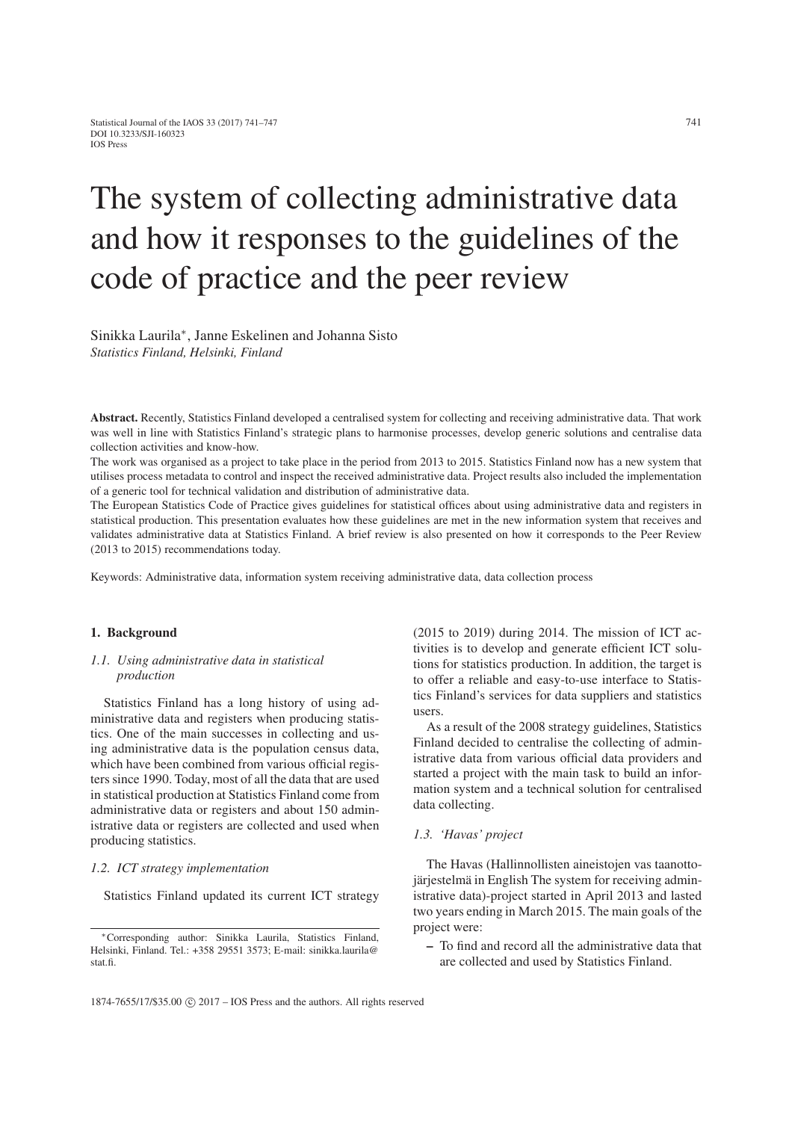# The system of collecting administrative data and how it responses to the guidelines of the code of practice and the peer review

Sinikka Laurila∗, Janne Eskelinen and Johanna Sisto *Statistics Finland, Helsinki, Finland*

Abstract. Recently, Statistics Finland developed a centralised system for collecting and receiving administrative data. That work was well in line with Statistics Finland's strategic plans to harmonise processes, develop generic solutions and centralise data collection activities and know-how.

The work was organised as a project to take place in the period from 2013 to 2015. Statistics Finland now has a new system that utilises process metadata to control and inspect the received administrative data. Project results also included the implementation of a generic tool for technical validation and distribution of administrative data.

The European Statistics Code of Practice gives guidelines for statistical offices about using administrative data and registers in statistical production. This presentation evaluates how these guidelines are met in the new information system that receives and validates administrative data at Statistics Finland. A brief review is also presented on how it corresponds to the Peer Review (2013 to 2015) recommendations today.

Keywords: Administrative data, information system receiving administrative data, data collection process

#### 1. Background

#### *1.1. Using administrative data in statistical production*

Statistics Finland has a long history of using administrative data and registers when producing statistics. One of the main successes in collecting and using administrative data is the population census data, which have been combined from various official registers since 1990. Today, most of all the data that are used in statistical production at Statistics Finland come from administrative data or registers and about 150 administrative data or registers are collected and used when producing statistics.

#### *1.2. ICT strategy implementation*

Statistics Finland updated its current ICT strategy

(2015 to 2019) during 2014. The mission of ICT activities is to develop and generate efficient ICT solutions for statistics production. In addition, the target is to offer a reliable and easy-to-use interface to Statistics Finland's services for data suppliers and statistics users.

As a result of the 2008 strategy guidelines, Statistics Finland decided to centralise the collecting of administrative data from various official data providers and started a project with the main task to build an information system and a technical solution for centralised data collecting.

#### *1.3. 'Havas' project*

The Havas (Hallinnollisten aineistojen vas taanottojärjestelmä in English The system for receiving administrative data)-project started in April 2013 and lasted two years ending in March 2015. The main goals of the project were:

– To find and record all the administrative data that are collected and used by Statistics Finland.

<sup>∗</sup>Corresponding author: Sinikka Laurila, Statistics Finland, Helsinki, Finland. Tel.: +358 29551 3573; E-mail: sinikka.laurila@ stat.fi.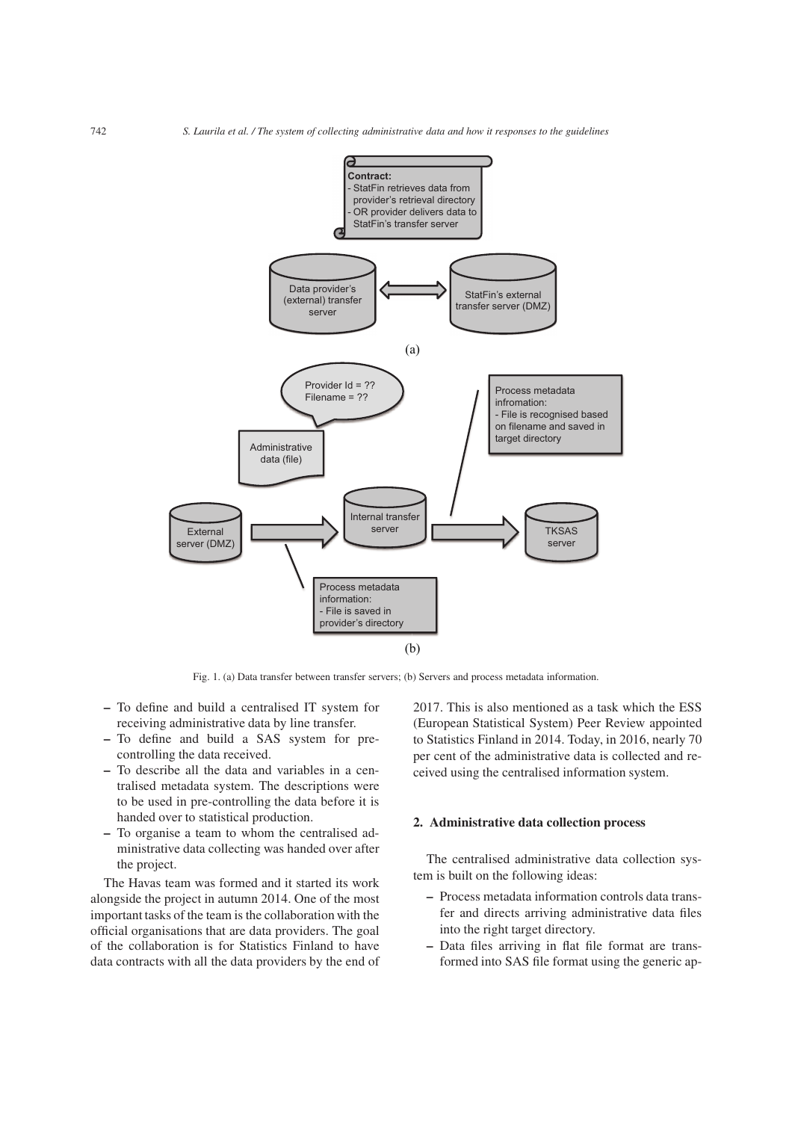

Fig. 1. (a) Data transfer between transfer servers; (b) Servers and process metadata information.

- To define and build a centralised IT system for receiving administrative data by line transfer.
- To define and build a SAS system for precontrolling the data received.
- To describe all the data and variables in a centralised metadata system. The descriptions were to be used in pre-controlling the data before it is handed over to statistical production.
- To organise a team to whom the centralised administrative data collecting was handed over after the project.

The Havas team was formed and it started its work alongside the project in autumn 2014. One of the most important tasks of the team is the collaboration with the official organisations that are data providers. The goal of the collaboration is for Statistics Finland to have data contracts with all the data providers by the end of

2017. This is also mentioned as a task which the ESS (European Statistical System) Peer Review appointed to Statistics Finland in 2014. Today, in 2016, nearly 70 per cent of the administrative data is collected and received using the centralised information system.

# 2. Administrative data collection process

The centralised administrative data collection system is built on the following ideas:

- Process metadata information controls data transfer and directs arriving administrative data files into the right target directory.
- Data files arriving in flat file format are transformed into SAS file format using the generic ap-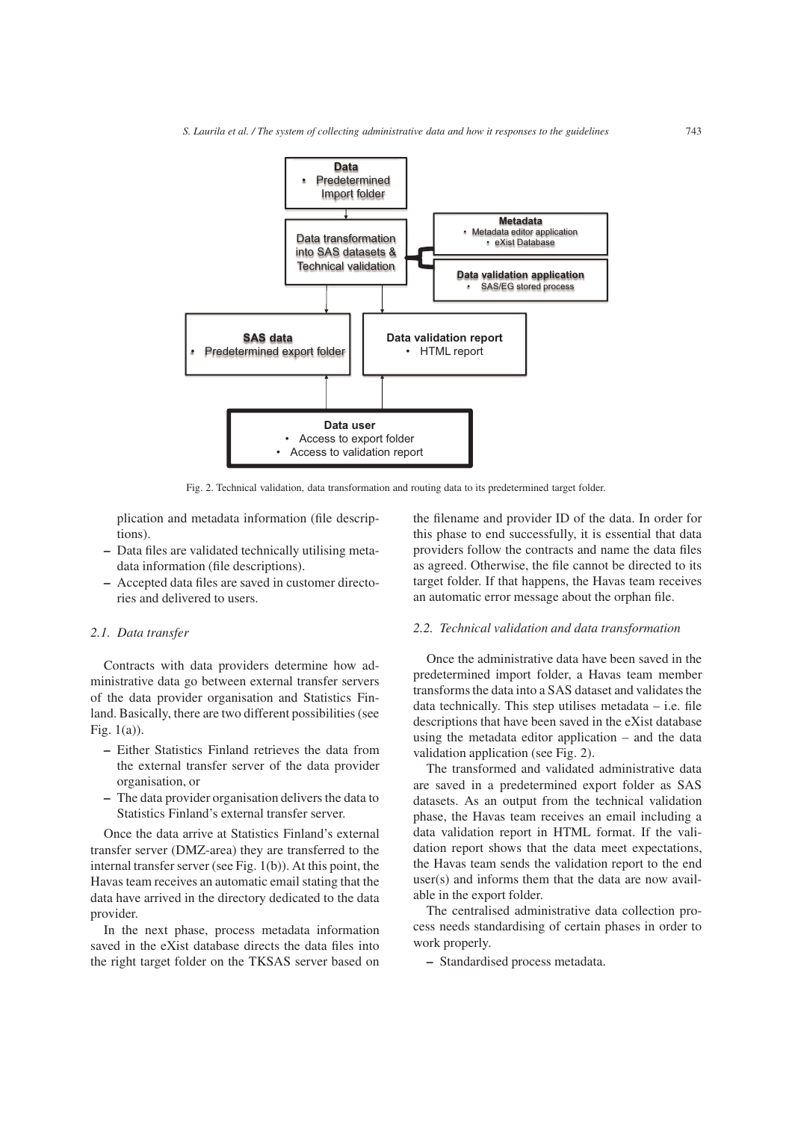

Fig. 2. Technical validation, data transformation and routing data to its predetermined target folder.

plication and metadata information (file descriptions).

- Data files are validated technically utilising metadata information (file descriptions).
- Accepted data files are saved in customer directories and delivered to users.

# *2.1. Data transfer*

Contracts with data providers determine how administrative data go between external transfer servers of the data provider organisation and Statistics Finland. Basically, there are two different possibilities (see Fig. 1(a)).

- Either Statistics Finland retrieves the data from the external transfer server of the data provider organisation, or
- The data provider organisation delivers the data to Statistics Finland's external transfer server.

Once the data arrive at Statistics Finland's external transfer server (DMZ-area) they are transferred to the internal transfer server (see Fig. 1(b)). At this point, the Havas team receives an automatic email stating that the data have arrived in the directory dedicated to the data provider.

In the next phase, process metadata information saved in the eXist database directs the data files into the right target folder on the TKSAS server based on

the filename and provider ID of the data. In order for this phase to end successfully, it is essential that data providers follow the contracts and name the data files as agreed. Otherwise, the file cannot be directed to its target folder. If that happens, the Havas team receives an automatic error message about the orphan file.

#### *2.2. Technical validation and data transformation*

Once the administrative data have been saved in the predetermined import folder, a Havas team member transforms the data into a SAS dataset and validates the data technically. This step utilises metadata – i.e. file descriptions that have been saved in the eXist database using the metadata editor application – and the data validation application (see Fig. 2).

The transformed and validated administrative data are saved in a predetermined export folder as SAS datasets. As an output from the technical validation phase, the Havas team receives an email including a data validation report in HTML format. If the validation report shows that the data meet expectations, the Havas team sends the validation report to the end user(s) and informs them that the data are now available in the export folder.

The centralised administrative data collection process needs standardising of certain phases in order to work properly.

– Standardised process metadata.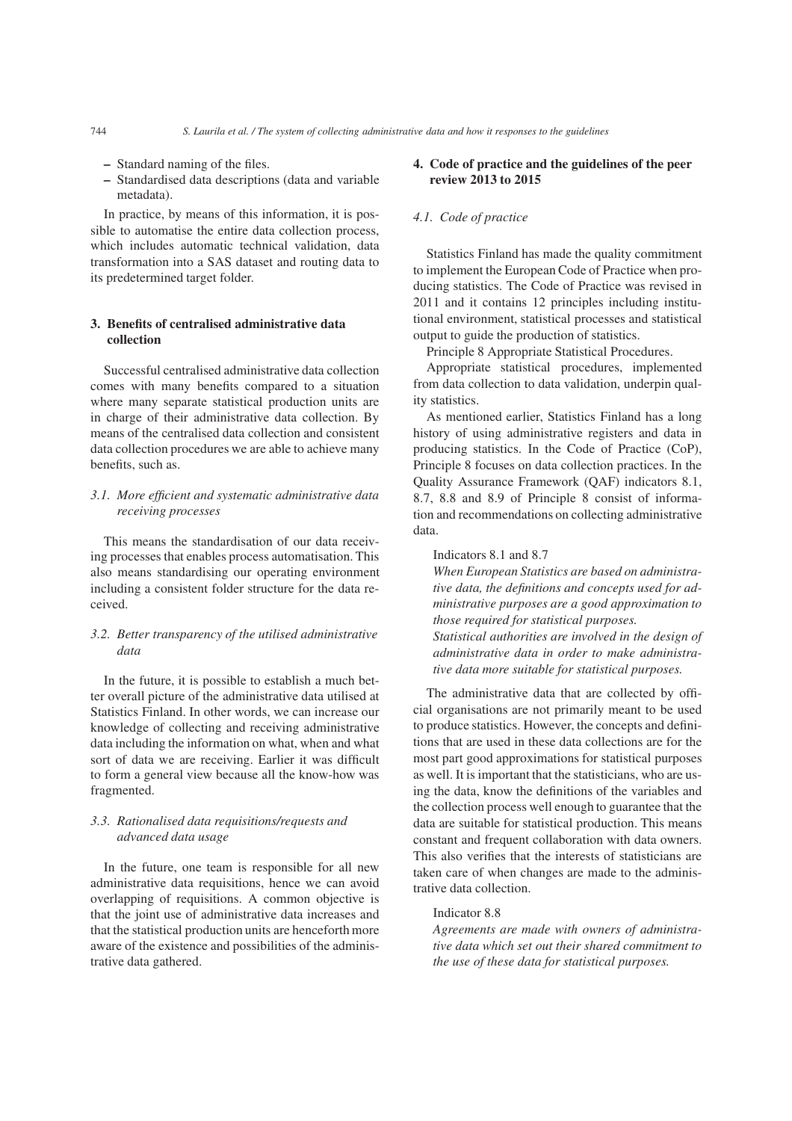- Standard naming of the files.
- Standardised data descriptions (data and variable metadata).

In practice, by means of this information, it is possible to automatise the entire data collection process, which includes automatic technical validation, data transformation into a SAS dataset and routing data to its predetermined target folder.

# 3. Benefits of centralised administrative data collection

Successful centralised administrative data collection comes with many benefits compared to a situation where many separate statistical production units are in charge of their administrative data collection. By means of the centralised data collection and consistent data collection procedures we are able to achieve many benefits, such as.

# *3.1. More efficient and systematic administrative data receiving processes*

This means the standardisation of our data receiving processes that enables process automatisation. This also means standardising our operating environment including a consistent folder structure for the data received.

# *3.2. Better transparency of the utilised administrative data*

In the future, it is possible to establish a much better overall picture of the administrative data utilised at Statistics Finland. In other words, we can increase our knowledge of collecting and receiving administrative data including the information on what, when and what sort of data we are receiving. Earlier it was difficult to form a general view because all the know-how was fragmented.

# *3.3. Rationalised data requisitions/requests and advanced data usage*

In the future, one team is responsible for all new administrative data requisitions, hence we can avoid overlapping of requisitions. A common objective is that the joint use of administrative data increases and that the statistical production units are henceforth more aware of the existence and possibilities of the administrative data gathered.

# 4. Code of practice and the guidelines of the peer review 2013 to 2015

#### *4.1. Code of practice*

Statistics Finland has made the quality commitment to implement the European Code of Practice when producing statistics. The Code of Practice was revised in 2011 and it contains 12 principles including institutional environment, statistical processes and statistical output to guide the production of statistics.

Principle 8 Appropriate Statistical Procedures.

Appropriate statistical procedures, implemented from data collection to data validation, underpin quality statistics.

As mentioned earlier, Statistics Finland has a long history of using administrative registers and data in producing statistics. In the Code of Practice (CoP), Principle 8 focuses on data collection practices. In the Quality Assurance Framework (QAF) indicators 8.1, 8.7, 8.8 and 8.9 of Principle 8 consist of information and recommendations on collecting administrative data.

#### Indicators 8.1 and 8.7

*When European Statistics are based on administrative data, the definitions and concepts used for administrative purposes are a good approximation to those required for statistical purposes. Statistical authorities are involved in the design of administrative data in order to make administrative data more suitable for statistical purposes.*

The administrative data that are collected by official organisations are not primarily meant to be used to produce statistics. However, the concepts and definitions that are used in these data collections are for the most part good approximations for statistical purposes as well. It is important that the statisticians, who are using the data, know the definitions of the variables and the collection process well enough to guarantee that the data are suitable for statistical production. This means constant and frequent collaboration with data owners. This also verifies that the interests of statisticians are taken care of when changes are made to the administrative data collection.

# Indicator 8.8

*Agreements are made with owners of administrative data which set out their shared commitment to the use of these data for statistical purposes.*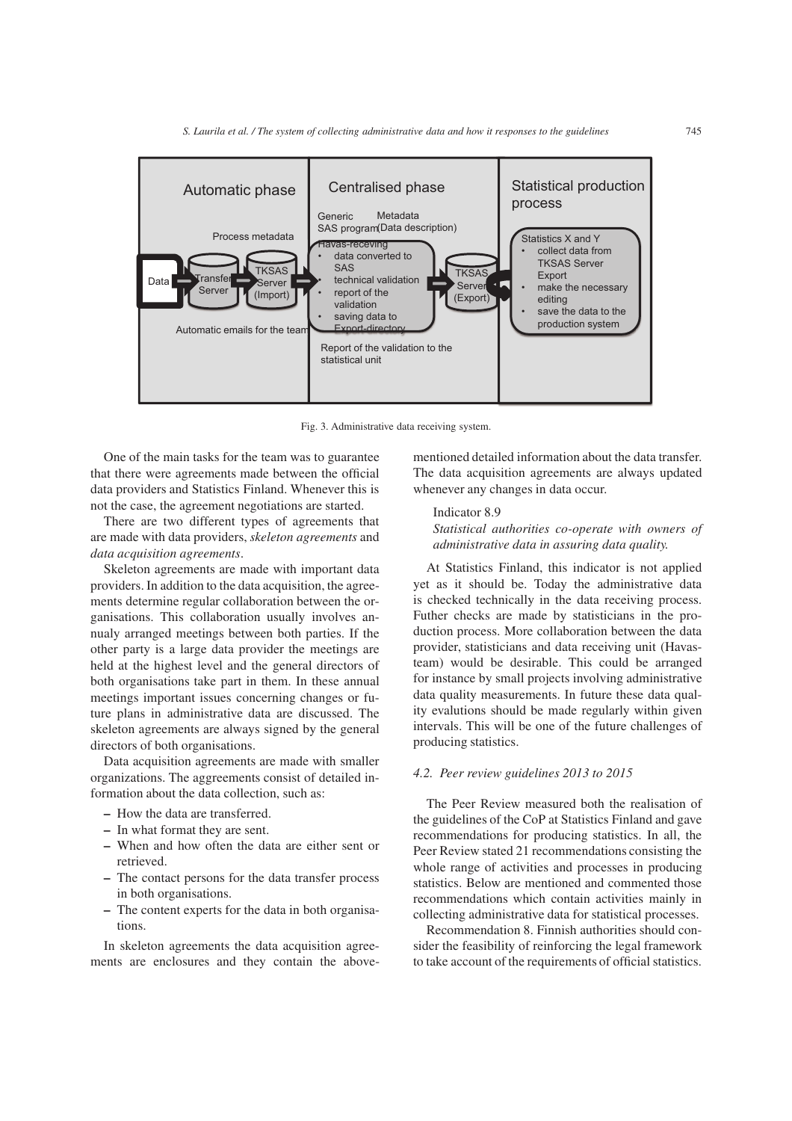

Fig. 3. Administrative data receiving system.

One of the main tasks for the team was to guarantee that there were agreements made between the official data providers and Statistics Finland. Whenever this is not the case, the agreement negotiations are started.

There are two different types of agreements that are made with data providers, *skeleton agreements* and *data acquisition agreements*.

Skeleton agreements are made with important data providers. In addition to the data acquisition, the agreements determine regular collaboration between the organisations. This collaboration usually involves annualy arranged meetings between both parties. If the other party is a large data provider the meetings are held at the highest level and the general directors of both organisations take part in them. In these annual meetings important issues concerning changes or future plans in administrative data are discussed. The skeleton agreements are always signed by the general directors of both organisations.

Data acquisition agreements are made with smaller organizations. The aggreements consist of detailed information about the data collection, such as:

- How the data are transferred.
- In what format they are sent.
- When and how often the data are either sent or retrieved.
- The contact persons for the data transfer process in both organisations.
- The content experts for the data in both organisations.

In skeleton agreements the data acquisition agreements are enclosures and they contain the abovementioned detailed information about the data transfer. The data acquisition agreements are always updated whenever any changes in data occur.

# Indicator 8.9

*Statistical authorities co-operate with owners of administrative data in assuring data quality.*

At Statistics Finland, this indicator is not applied yet as it should be. Today the administrative data is checked technically in the data receiving process. Futher checks are made by statisticians in the production process. More collaboration between the data provider, statisticians and data receiving unit (Havasteam) would be desirable. This could be arranged for instance by small projects involving administrative data quality measurements. In future these data quality evalutions should be made regularly within given intervals. This will be one of the future challenges of producing statistics.

#### *4.2. Peer review guidelines 2013 to 2015*

The Peer Review measured both the realisation of the guidelines of the CoP at Statistics Finland and gave recommendations for producing statistics. In all, the Peer Review stated 21 recommendations consisting the whole range of activities and processes in producing statistics. Below are mentioned and commented those recommendations which contain activities mainly in collecting administrative data for statistical processes.

Recommendation 8. Finnish authorities should consider the feasibility of reinforcing the legal framework to take account of the requirements of official statistics.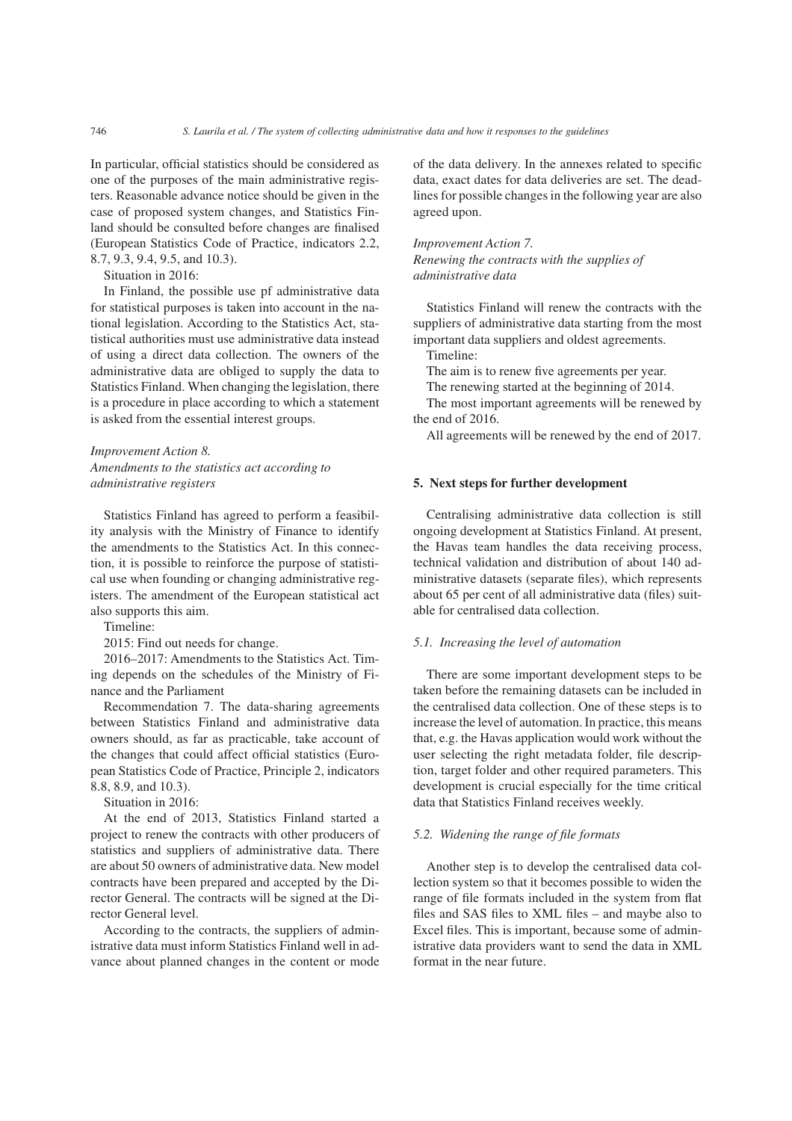In particular, official statistics should be considered as one of the purposes of the main administrative registers. Reasonable advance notice should be given in the case of proposed system changes, and Statistics Finland should be consulted before changes are finalised (European Statistics Code of Practice, indicators 2.2, 8.7, 9.3, 9.4, 9.5, and 10.3).

Situation in 2016:

In Finland, the possible use pf administrative data for statistical purposes is taken into account in the national legislation. According to the Statistics Act, statistical authorities must use administrative data instead of using a direct data collection. The owners of the administrative data are obliged to supply the data to Statistics Finland. When changing the legislation, there is a procedure in place according to which a statement is asked from the essential interest groups.

*Improvement Action 8. Amendments to the statistics act according to administrative registers*

Statistics Finland has agreed to perform a feasibility analysis with the Ministry of Finance to identify the amendments to the Statistics Act. In this connection, it is possible to reinforce the purpose of statistical use when founding or changing administrative registers. The amendment of the European statistical act also supports this aim.

Timeline:

2015: Find out needs for change.

2016–2017: Amendments to the Statistics Act. Timing depends on the schedules of the Ministry of Finance and the Parliament

Recommendation 7. The data-sharing agreements between Statistics Finland and administrative data owners should, as far as practicable, take account of the changes that could affect official statistics (European Statistics Code of Practice, Principle 2, indicators 8.8, 8.9, and 10.3).

Situation in 2016:

At the end of 2013, Statistics Finland started a project to renew the contracts with other producers of statistics and suppliers of administrative data. There are about 50 owners of administrative data. New model contracts have been prepared and accepted by the Director General. The contracts will be signed at the Director General level.

According to the contracts, the suppliers of administrative data must inform Statistics Finland well in advance about planned changes in the content or mode of the data delivery. In the annexes related to specific data, exact dates for data deliveries are set. The deadlines for possible changes in the following year are also agreed upon.

*Improvement Action 7. Renewing the contracts with the supplies of administrative data*

Statistics Finland will renew the contracts with the suppliers of administrative data starting from the most important data suppliers and oldest agreements.

Timeline:

The aim is to renew five agreements per year.

The renewing started at the beginning of 2014.

The most important agreements will be renewed by the end of 2016.

All agreements will be renewed by the end of 2017.

#### 5. Next steps for further development

Centralising administrative data collection is still ongoing development at Statistics Finland. At present, the Havas team handles the data receiving process, technical validation and distribution of about 140 administrative datasets (separate files), which represents about 65 per cent of all administrative data (files) suitable for centralised data collection.

#### *5.1. Increasing the level of automation*

There are some important development steps to be taken before the remaining datasets can be included in the centralised data collection. One of these steps is to increase the level of automation. In practice, this means that, e.g. the Havas application would work without the user selecting the right metadata folder, file description, target folder and other required parameters. This development is crucial especially for the time critical data that Statistics Finland receives weekly.

#### *5.2. Widening the range of file formats*

Another step is to develop the centralised data collection system so that it becomes possible to widen the range of file formats included in the system from flat files and SAS files to XML files – and maybe also to Excel files. This is important, because some of administrative data providers want to send the data in XML format in the near future.